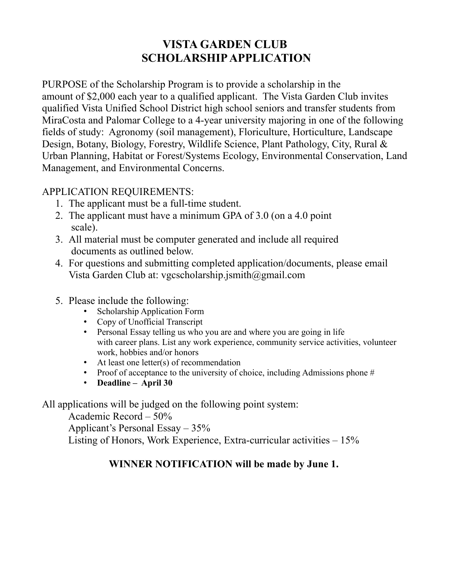## **VISTA GARDEN CLUB SCHOLARSHIP APPLICATION**

PURPOSE of the Scholarship Program is to provide a scholarship in the amount of \$2,000 each year to a qualified applicant. The Vista Garden Club invites qualified Vista Unified School District high school seniors and transfer students from MiraCosta and Palomar College to a 4-year university majoring in one of the following fields of study: Agronomy (soil management), Floriculture, Horticulture, Landscape Design, Botany, Biology, Forestry, Wildlife Science, Plant Pathology, City, Rural & Urban Planning, Habitat or Forest/Systems Ecology, Environmental Conservation, Land Management, and Environmental Concerns.

#### APPLICATION REQUIREMENTS:

- 1. The applicant must be a full-time student.
- 2. The applicant must have a minimum GPA of 3.0 (on a 4.0 point scale).
- 3. All material must be computer generated and include all required documents as outlined below.
- 4. For questions and submitting completed application/documents, please email Vista Garden Club at: vgcscholarship.jsmith@gmail.com
- 5. Please include the following:
	- Scholarship Application Form
	- Copy of Unofficial Transcript
	- Personal Essay telling us who you are and where you are going in life with career plans. List any work experience, community service activities, volunteer work, hobbies and/or honors
	- At least one letter(s) of recommendation
	- Proof of acceptance to the university of choice, including Admissions phone  $#$
	- **Deadline April 30**

All applications will be judged on the following point system:

Academic Record – 50%

Applicant's Personal Essay – 35%

Listing of Honors, Work Experience, Extra-curricular activities – 15%

#### **WINNER NOTIFICATION will be made by June 1.**